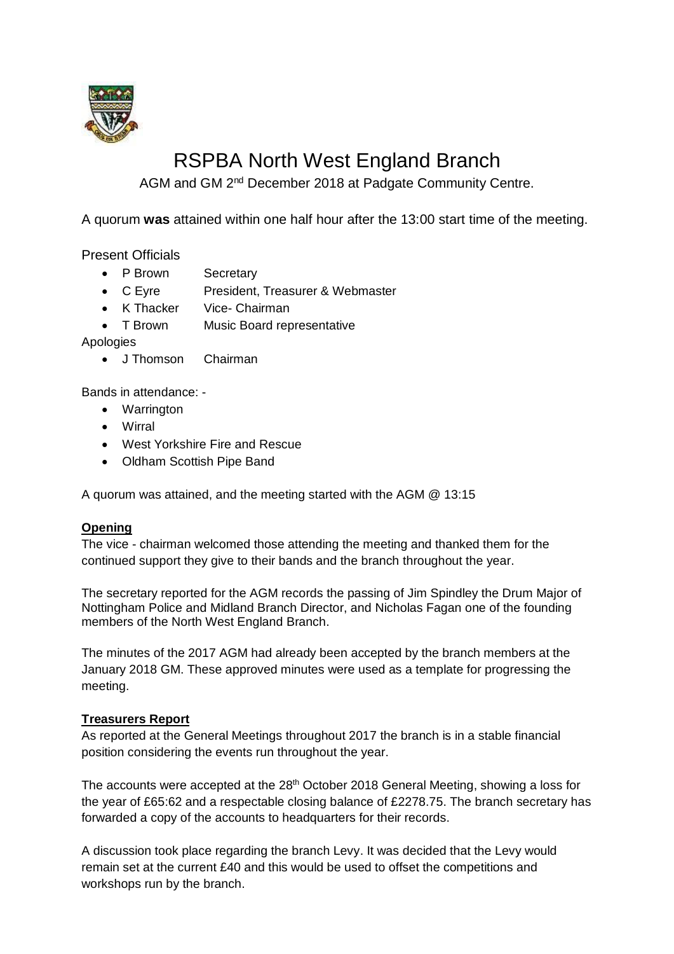

# RSPBA North West England Branch

AGM and GM 2<sup>nd</sup> December 2018 at Padgate Community Centre.

A quorum **was** attained within one half hour after the 13:00 start time of the meeting.

Present Officials

- P Brown Secretary
- C Eyre President, Treasurer & Webmaster
- K Thacker Vice- Chairman
- T Brown Music Board representative

Apologies

• J Thomson Chairman

Bands in attendance: -

- Warrington
- Wirral
- West Yorkshire Fire and Rescue
- Oldham Scottish Pipe Band

A quorum was attained, and the meeting started with the AGM @ 13:15

### **Opening**

The vice - chairman welcomed those attending the meeting and thanked them for the continued support they give to their bands and the branch throughout the year.

The secretary reported for the AGM records the passing of Jim Spindley the Drum Major of Nottingham Police and Midland Branch Director, and Nicholas Fagan one of the founding members of the North West England Branch.

The minutes of the 2017 AGM had already been accepted by the branch members at the January 2018 GM. These approved minutes were used as a template for progressing the meeting.

# **Treasurers Report**

As reported at the General Meetings throughout 2017 the branch is in a stable financial position considering the events run throughout the year.

The accounts were accepted at the 28<sup>th</sup> October 2018 General Meeting, showing a loss for the year of £65:62 and a respectable closing balance of £2278.75. The branch secretary has forwarded a copy of the accounts to headquarters for their records.

A discussion took place regarding the branch Levy. It was decided that the Levy would remain set at the current £40 and this would be used to offset the competitions and workshops run by the branch.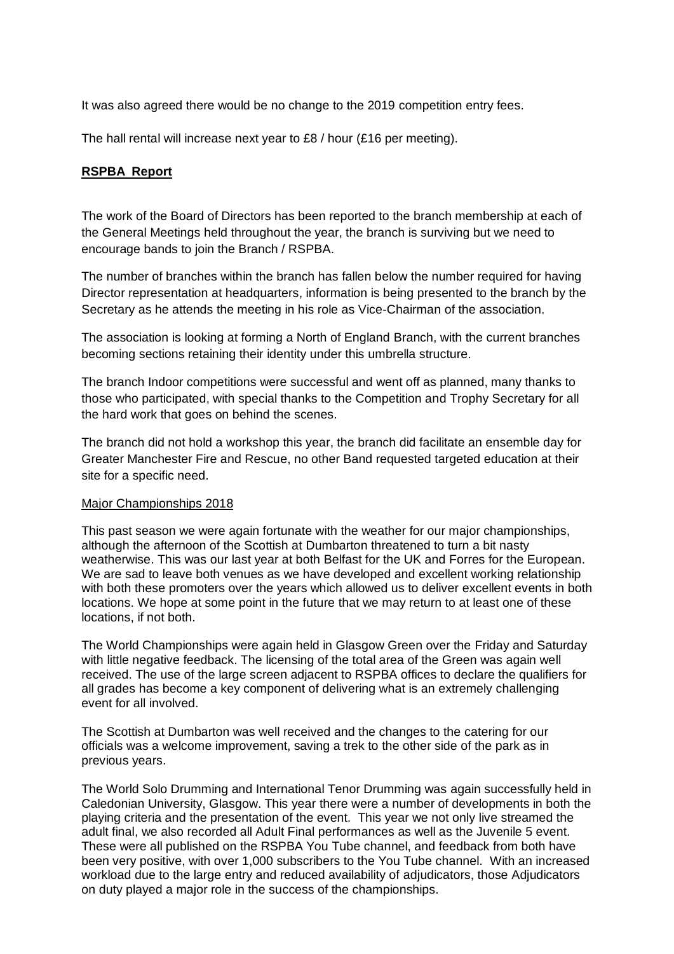It was also agreed there would be no change to the 2019 competition entry fees.

The hall rental will increase next year to £8 / hour (£16 per meeting).

### **RSPBA Report**

The work of the Board of Directors has been reported to the branch membership at each of the General Meetings held throughout the year, the branch is surviving but we need to encourage bands to join the Branch / RSPBA.

The number of branches within the branch has fallen below the number required for having Director representation at headquarters, information is being presented to the branch by the Secretary as he attends the meeting in his role as Vice-Chairman of the association.

The association is looking at forming a North of England Branch, with the current branches becoming sections retaining their identity under this umbrella structure.

The branch Indoor competitions were successful and went off as planned, many thanks to those who participated, with special thanks to the Competition and Trophy Secretary for all the hard work that goes on behind the scenes.

The branch did not hold a workshop this year, the branch did facilitate an ensemble day for Greater Manchester Fire and Rescue, no other Band requested targeted education at their site for a specific need.

### Major Championships 2018

This past season we were again fortunate with the weather for our major championships, although the afternoon of the Scottish at Dumbarton threatened to turn a bit nasty weatherwise. This was our last year at both Belfast for the UK and Forres for the European. We are sad to leave both venues as we have developed and excellent working relationship with both these promoters over the years which allowed us to deliver excellent events in both locations. We hope at some point in the future that we may return to at least one of these locations, if not both.

The World Championships were again held in Glasgow Green over the Friday and Saturday with little negative feedback. The licensing of the total area of the Green was again well received. The use of the large screen adjacent to RSPBA offices to declare the qualifiers for all grades has become a key component of delivering what is an extremely challenging event for all involved.

The Scottish at Dumbarton was well received and the changes to the catering for our officials was a welcome improvement, saving a trek to the other side of the park as in previous years.

The World Solo Drumming and International Tenor Drumming was again successfully held in Caledonian University, Glasgow. This year there were a number of developments in both the playing criteria and the presentation of the event. This year we not only live streamed the adult final, we also recorded all Adult Final performances as well as the Juvenile 5 event. These were all published on the RSPBA You Tube channel, and feedback from both have been very positive, with over 1,000 subscribers to the You Tube channel. With an increased workload due to the large entry and reduced availability of adjudicators, those Adjudicators on duty played a major role in the success of the championships.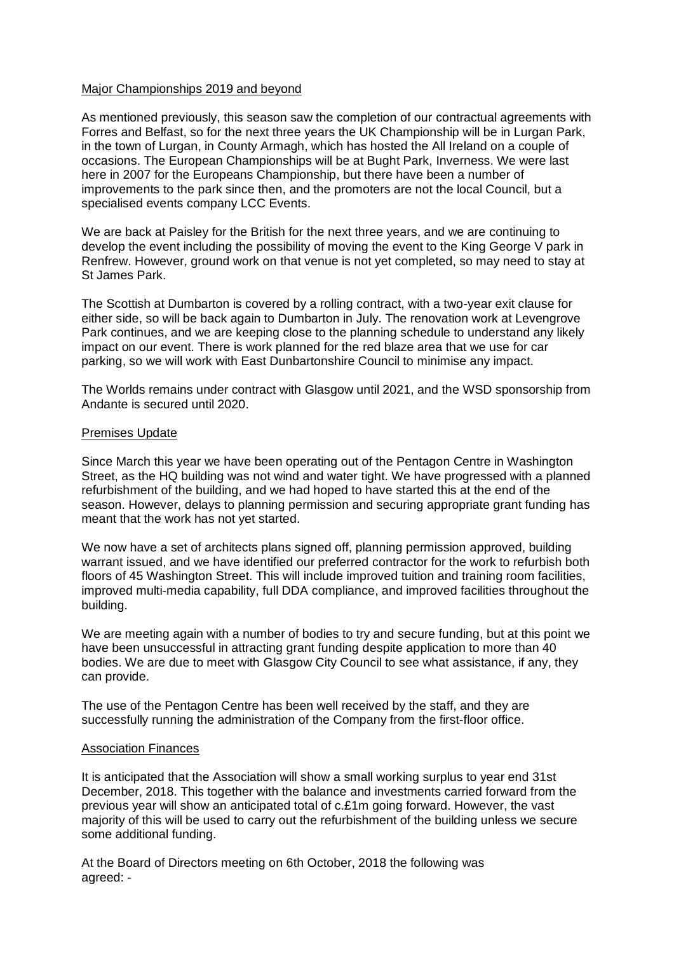### Major Championships 2019 and beyond

As mentioned previously, this season saw the completion of our contractual agreements with Forres and Belfast, so for the next three years the UK Championship will be in Lurgan Park, in the town of Lurgan, in County Armagh, which has hosted the All Ireland on a couple of occasions. The European Championships will be at Bught Park, Inverness. We were last here in 2007 for the Europeans Championship, but there have been a number of improvements to the park since then, and the promoters are not the local Council, but a specialised events company LCC Events.

We are back at Paisley for the British for the next three years, and we are continuing to develop the event including the possibility of moving the event to the King George V park in Renfrew. However, ground work on that venue is not yet completed, so may need to stay at St James Park.

The Scottish at Dumbarton is covered by a rolling contract, with a two-year exit clause for either side, so will be back again to Dumbarton in July. The renovation work at Levengrove Park continues, and we are keeping close to the planning schedule to understand any likely impact on our event. There is work planned for the red blaze area that we use for car parking, so we will work with East Dunbartonshire Council to minimise any impact.

The Worlds remains under contract with Glasgow until 2021, and the WSD sponsorship from Andante is secured until 2020.

### Premises Update

Since March this year we have been operating out of the Pentagon Centre in Washington Street, as the HQ building was not wind and water tight. We have progressed with a planned refurbishment of the building, and we had hoped to have started this at the end of the season. However, delays to planning permission and securing appropriate grant funding has meant that the work has not yet started.

We now have a set of architects plans signed off, planning permission approved, building warrant issued, and we have identified our preferred contractor for the work to refurbish both floors of 45 Washington Street. This will include improved tuition and training room facilities, improved multi-media capability, full DDA compliance, and improved facilities throughout the building.

We are meeting again with a number of bodies to try and secure funding, but at this point we have been unsuccessful in attracting grant funding despite application to more than 40 bodies. We are due to meet with Glasgow City Council to see what assistance, if any, they can provide.

The use of the Pentagon Centre has been well received by the staff, and they are successfully running the administration of the Company from the first-floor office.

### Association Finances

It is anticipated that the Association will show a small working surplus to year end 31st December, 2018. This together with the balance and investments carried forward from the previous year will show an anticipated total of c.£1m going forward. However, the vast majority of this will be used to carry out the refurbishment of the building unless we secure some additional funding.

At the Board of Directors meeting on 6th October, 2018 the following was agreed: -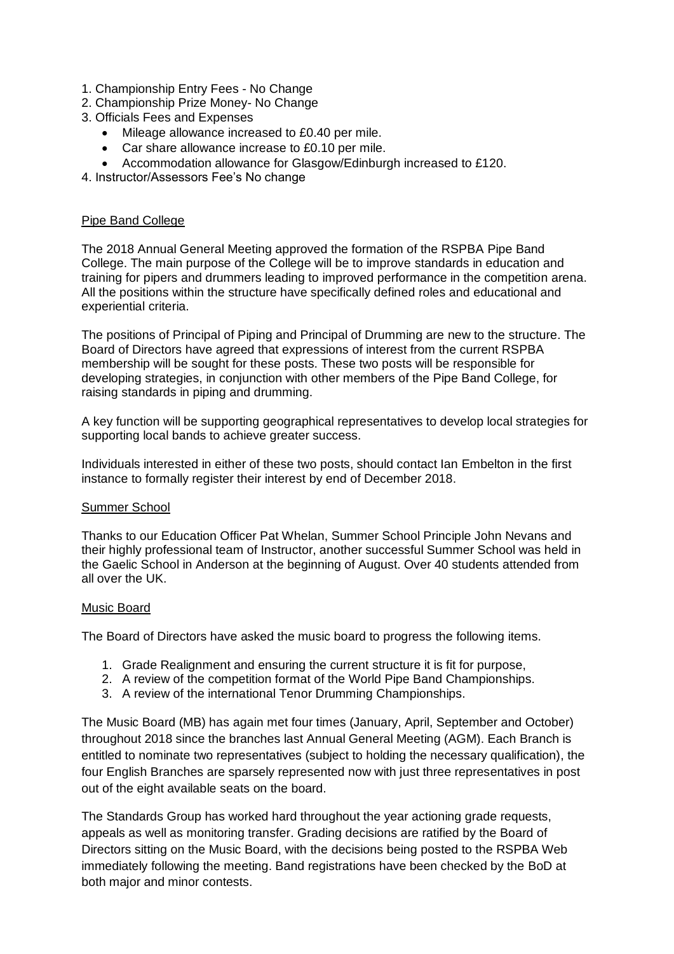- 1. Championship Entry Fees No Change
- 2. Championship Prize Money- No Change
- 3. Officials Fees and Expenses
	- Mileage allowance increased to £0.40 per mile.
	- Car share allowance increase to £0.10 per mile.
	- Accommodation allowance for Glasgow/Edinburgh increased to £120.
- 4. Instructor/Assessors Fee's No change

### Pipe Band College

The 2018 Annual General Meeting approved the formation of the RSPBA Pipe Band College. The main purpose of the College will be to improve standards in education and training for pipers and drummers leading to improved performance in the competition arena. All the positions within the structure have specifically defined roles and educational and experiential criteria.

The positions of Principal of Piping and Principal of Drumming are new to the structure. The Board of Directors have agreed that expressions of interest from the current RSPBA membership will be sought for these posts. These two posts will be responsible for developing strategies, in conjunction with other members of the Pipe Band College, for raising standards in piping and drumming.

A key function will be supporting geographical representatives to develop local strategies for supporting local bands to achieve greater success.

Individuals interested in either of these two posts, should contact Ian Embelton in the first instance to formally register their interest by end of December 2018.

### Summer School

Thanks to our Education Officer Pat Whelan, Summer School Principle John Nevans and their highly professional team of Instructor, another successful Summer School was held in the Gaelic School in Anderson at the beginning of August. Over 40 students attended from all over the UK.

### Music Board

The Board of Directors have asked the music board to progress the following items.

- 1. Grade Realignment and ensuring the current structure it is fit for purpose,
- 2. A review of the competition format of the World Pipe Band Championships.
- 3. A review of the international Tenor Drumming Championships.

The Music Board (MB) has again met four times (January, April, September and October) throughout 2018 since the branches last Annual General Meeting (AGM). Each Branch is entitled to nominate two representatives (subject to holding the necessary qualification), the four English Branches are sparsely represented now with just three representatives in post out of the eight available seats on the board.

The Standards Group has worked hard throughout the year actioning grade requests, appeals as well as monitoring transfer. Grading decisions are ratified by the Board of Directors sitting on the Music Board, with the decisions being posted to the RSPBA Web immediately following the meeting. Band registrations have been checked by the BoD at both major and minor contests.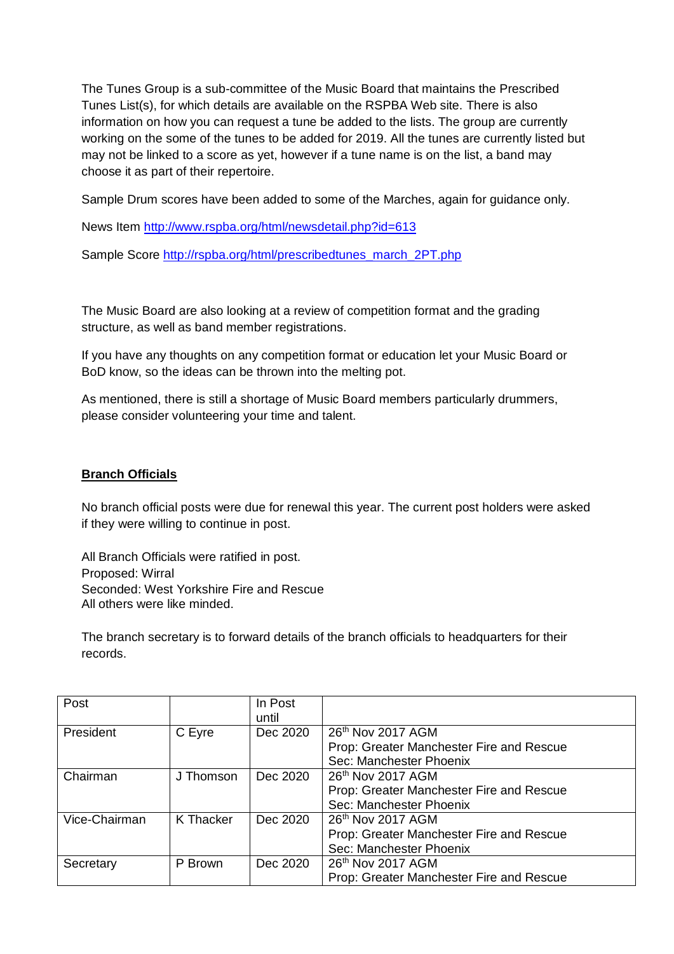The Tunes Group is a sub-committee of the Music Board that maintains the Prescribed Tunes List(s), for which details are available on the RSPBA Web site. There is also information on how you can request a tune be added to the lists. The group are currently working on the some of the tunes to be added for 2019. All the tunes are currently listed but may not be linked to a score as yet, however if a tune name is on the list, a band may choose it as part of their repertoire.

Sample Drum scores have been added to some of the Marches, again for guidance only.

News Item<http://www.rspba.org/html/newsdetail.php?id=613>

Sample Score [http://rspba.org/html/prescribedtunes\\_march\\_2PT.php](http://rspba.org/html/prescribedtunes_march_2PT.php)

The Music Board are also looking at a review of competition format and the grading structure, as well as band member registrations.

If you have any thoughts on any competition format or education let your Music Board or BoD know, so the ideas can be thrown into the melting pot.

As mentioned, there is still a shortage of Music Board members particularly drummers, please consider volunteering your time and talent.

### **Branch Officials**

No branch official posts were due for renewal this year. The current post holders were asked if they were willing to continue in post.

All Branch Officials were ratified in post. Proposed: Wirral Seconded: West Yorkshire Fire and Rescue All others were like minded.

The branch secretary is to forward details of the branch officials to headquarters for their records.

| Post                             |           | In Post  |                                          |  |  |  |
|----------------------------------|-----------|----------|------------------------------------------|--|--|--|
|                                  |           | until    |                                          |  |  |  |
| President                        | C Eyre    | Dec 2020 | 26th Nov 2017 AGM                        |  |  |  |
|                                  |           |          | Prop: Greater Manchester Fire and Rescue |  |  |  |
|                                  |           |          | Sec: Manchester Phoenix                  |  |  |  |
| Chairman                         | J Thomson | Dec 2020 | 26 <sup>th</sup> Nov 2017 AGM            |  |  |  |
|                                  |           |          | Prop: Greater Manchester Fire and Rescue |  |  |  |
|                                  |           |          | Sec: Manchester Phoenix                  |  |  |  |
| Vice-Chairman                    | K Thacker | Dec 2020 | 26th Nov 2017 AGM                        |  |  |  |
|                                  |           |          | Prop: Greater Manchester Fire and Rescue |  |  |  |
|                                  |           |          | Sec: Manchester Phoenix                  |  |  |  |
| P Brown<br>Dec 2020<br>Secretary |           |          | 26th Nov 2017 AGM                        |  |  |  |
|                                  |           |          | Prop: Greater Manchester Fire and Rescue |  |  |  |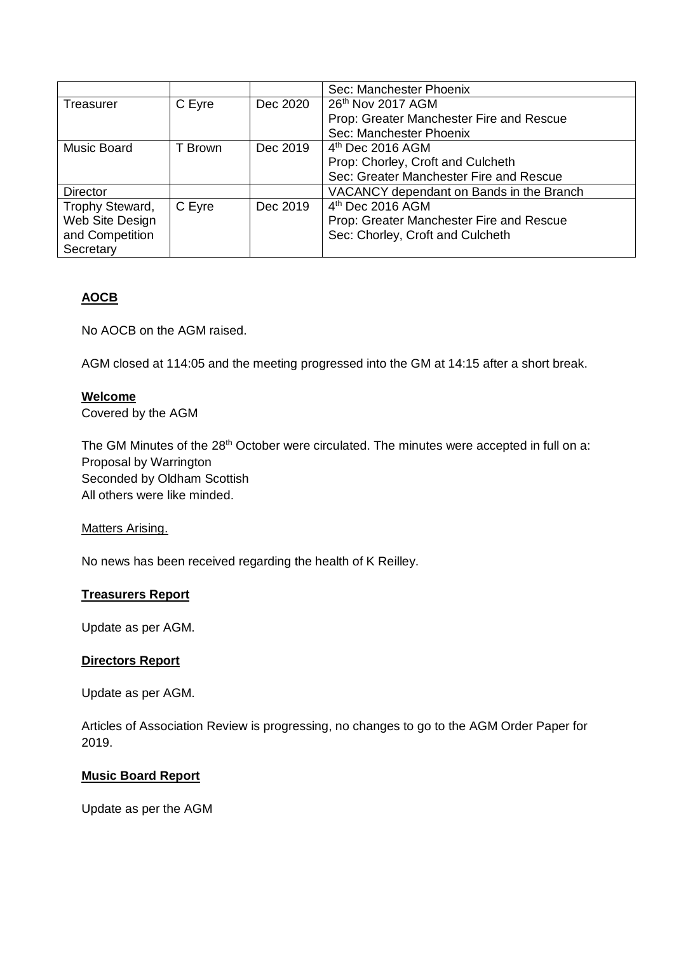|                 |         |          | Sec: Manchester Phoenix                  |  |  |
|-----------------|---------|----------|------------------------------------------|--|--|
| Treasurer       | C Eyre  | Dec 2020 | 26 <sup>th</sup> Nov 2017 AGM            |  |  |
|                 |         |          | Prop: Greater Manchester Fire and Rescue |  |  |
|                 |         |          | Sec: Manchester Phoenix                  |  |  |
| Music Board     | T Brown | Dec 2019 | $4th$ Dec 2016 AGM                       |  |  |
|                 |         |          | Prop: Chorley, Croft and Culcheth        |  |  |
|                 |         |          | Sec: Greater Manchester Fire and Rescue  |  |  |
| Director        |         |          | VACANCY dependant on Bands in the Branch |  |  |
| Trophy Steward, | C Eyre  | Dec 2019 | $4th$ Dec 2016 AGM                       |  |  |
| Web Site Design |         |          | Prop: Greater Manchester Fire and Rescue |  |  |
| and Competition |         |          | Sec: Chorley, Croft and Culcheth         |  |  |
| Secretary       |         |          |                                          |  |  |

# **AOCB**

No AOCB on the AGM raised.

AGM closed at 114:05 and the meeting progressed into the GM at 14:15 after a short break.

### **Welcome**

Covered by the AGM

The GM Minutes of the 28<sup>th</sup> October were circulated. The minutes were accepted in full on a: Proposal by Warrington Seconded by Oldham Scottish All others were like minded.

### Matters Arising.

No news has been received regarding the health of K Reilley.

### **Treasurers Report**

Update as per AGM.

### **Directors Report**

Update as per AGM.

Articles of Association Review is progressing, no changes to go to the AGM Order Paper for 2019.

### **Music Board Report**

Update as per the AGM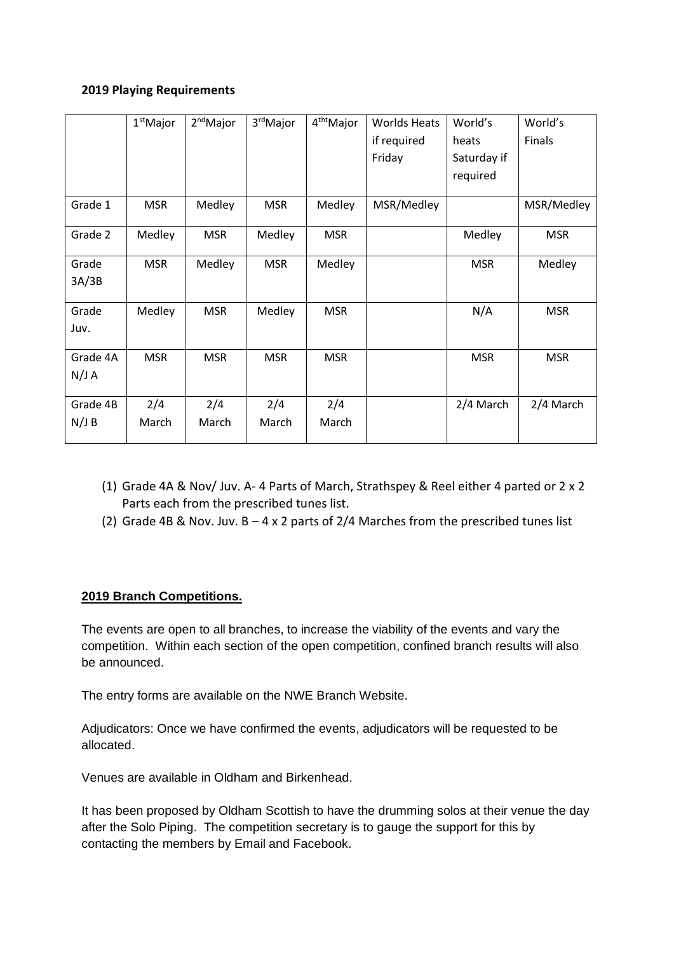### **2019 Playing Requirements**

|                   | $1st$ Major  | 2 <sup>nd</sup> Major | 3 <sup>rd</sup> Major | 4 <sup>tht</sup> Major | <b>Worlds Heats</b> | World's     | World's    |
|-------------------|--------------|-----------------------|-----------------------|------------------------|---------------------|-------------|------------|
|                   |              |                       |                       |                        | if required         | heats       | Finals     |
|                   |              |                       |                       |                        | Friday              | Saturday if |            |
|                   |              |                       |                       |                        |                     | required    |            |
| Grade 1           | <b>MSR</b>   | Medley                | <b>MSR</b>            | Medley                 | MSR/Medley          |             | MSR/Medley |
| Grade 2           | Medley       | <b>MSR</b>            | Medley                | <b>MSR</b>             |                     | Medley      | <b>MSR</b> |
| Grade<br>3A/3B    | <b>MSR</b>   | Medley                | <b>MSR</b>            | Medley                 |                     | <b>MSR</b>  | Medley     |
| Grade<br>Juv.     | Medley       | <b>MSR</b>            | Medley                | <b>MSR</b>             |                     | N/A         | <b>MSR</b> |
| Grade 4A<br>N/J A | <b>MSR</b>   | <b>MSR</b>            | <b>MSR</b>            | <b>MSR</b>             |                     | <b>MSR</b>  | <b>MSR</b> |
| Grade 4B<br>N/J B | 2/4<br>March | 2/4<br>March          | 2/4<br>March          | 2/4<br>March           |                     | 2/4 March   | 2/4 March  |

- (1) Grade 4A & Nov/ Juv. A- 4 Parts of March, Strathspey & Reel either 4 parted or 2 x 2 Parts each from the prescribed tunes list.
- (2) Grade 4B & Nov. Juv.  $B 4 \times 2$  parts of 2/4 Marches from the prescribed tunes list

# **2019 Branch Competitions.**

The events are open to all branches, to increase the viability of the events and vary the competition. Within each section of the open competition, confined branch results will also be announced.

The entry forms are available on the NWE Branch Website.

Adjudicators: Once we have confirmed the events, adjudicators will be requested to be allocated.

Venues are available in Oldham and Birkenhead.

It has been proposed by Oldham Scottish to have the drumming solos at their venue the day after the Solo Piping. The competition secretary is to gauge the support for this by contacting the members by Email and Facebook.